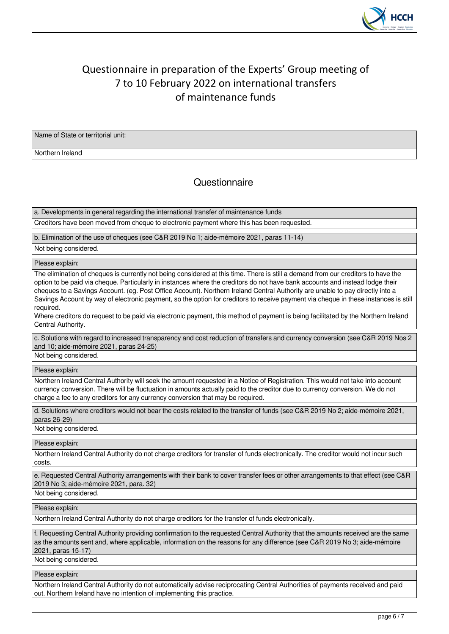

# Questionnaire in preparation of the Experts' Group meeting of 7 to 10 February 2022 on international transfers of maintenance funds

Name of State or territorial unit:

Northern Ireland

## **Questionnaire**

a. Developments in general regarding the international transfer of maintenance funds

Creditors have been moved from cheque to electronic payment where this has been requested.

b. Elimination of the use of cheques (see C&R 2019 No 1; aide-mémoire 2021, paras 11-14)

Not being considered.

Please explain:

The elimination of cheques is currently not being considered at this time. There is still a demand from our creditors to have the option to be paid via cheque. Particularly in instances where the creditors do not have bank accounts and instead lodge their cheques to a Savings Account. (eg. Post Office Account). Northern Ireland Central Authority are unable to pay directly into a Savings Account by way of electronic payment, so the option for creditors to receive payment via cheque in these instances is still required.

Where creditors do request to be paid via electronic payment, this method of payment is being facilitated by the Northern Ireland Central Authority.

c. Solutions with regard to increased transparency and cost reduction of transfers and currency conversion (see C&R 2019 Nos 2 and 10; aide-mémoire 2021, paras 24-25) Not being considered.

Please explain:

Northern Ireland Central Authority will seek the amount requested in a Notice of Registration. This would not take into account currency conversion. There will be fluctuation in amounts actually paid to the creditor due to currency conversion. We do not charge a fee to any creditors for any currency conversion that may be required.

d. Solutions where creditors would not bear the costs related to the transfer of funds (see C&R 2019 No 2; aide-mémoire 2021, paras 26-29)

Not being considered.

Please explain:

Northern Ireland Central Authority do not charge creditors for transfer of funds electronically. The creditor would not incur such costs.

e. Requested Central Authority arrangements with their bank to cover transfer fees or other arrangements to that effect (see C&R 2019 No 3; aide-mémoire 2021, para. 32)

Not being considered.

Please explain:

Northern Ireland Central Authority do not charge creditors for the transfer of funds electronically.

f. Requesting Central Authority providing confirmation to the requested Central Authority that the amounts received are the same as the amounts sent and, where applicable, information on the reasons for any difference (see C&R 2019 No 3; aide-mémoire 2021, paras 15-17)

Not being considered.

Please explain:

Northern Ireland Central Authority do not automatically advise reciprocating Central Authorities of payments received and paid out. Northern Ireland have no intention of implementing this practice.